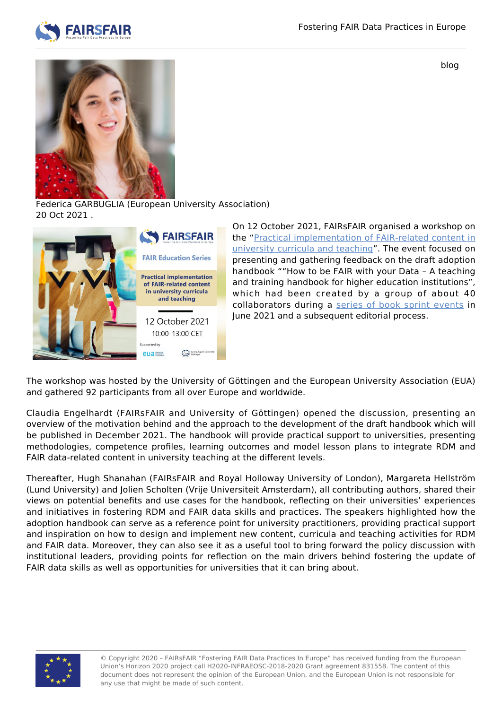

blog



Federica GARBUGLIA (European University Association) 20 Oct 2021 .



On 12 October 2021, FAIRsFAIR organised a workshop on the ["Practical implementation of FAIR-related content in](https://www.fairsfair.eu/events/fairsfair-event/practical-implementation-fair-related-content-university-curricula-and) [university curricula and teaching"](https://www.fairsfair.eu/events/fairsfair-event/practical-implementation-fair-related-content-university-curricula-and). The event focused on presenting and gathering feedback on the draft adoption handbook ""How to be FAIR with your Data – A teaching and training handbook for higher education institutions", which had been created by a group of about 40 collaborators during a [series of book sprint events](https://www.fairsfair.eu/events/booksprint-fair-adoption-handbook-universities) in June 2021 and a subsequent editorial process.

The workshop was hosted by the University of Göttingen and the European University Association (EUA) and gathered 92 participants from all over Europe and worldwide.

Claudia Engelhardt (FAIRsFAIR and University of Göttingen) opened the discussion, presenting an overview of the motivation behind and the approach to the development of the draft handbook which will be published in December 2021. The handbook will provide practical support to universities, presenting methodologies, competence profiles, learning outcomes and model lesson plans to integrate RDM and FAIR data-related content in university teaching at the different levels.

Thereafter, Hugh Shanahan (FAIRsFAIR and Royal Holloway University of London), Margareta Hellström (Lund University) and Jolien Scholten (Vrije Universiteit Amsterdam), all contributing authors, shared their views on potential benefits and use cases for the handbook, reflecting on their universities' experiences and initiatives in fostering RDM and FAIR data skills and practices. The speakers highlighted how the adoption handbook can serve as a reference point for university practitioners, providing practical support and inspiration on how to design and implement new content, curricula and teaching activities for RDM and FAIR data. Moreover, they can also see it as a useful tool to bring forward the policy discussion with institutional leaders, providing points for reflection on the main drivers behind fostering the update of FAIR data skills as well as opportunities for universities that it can bring about.